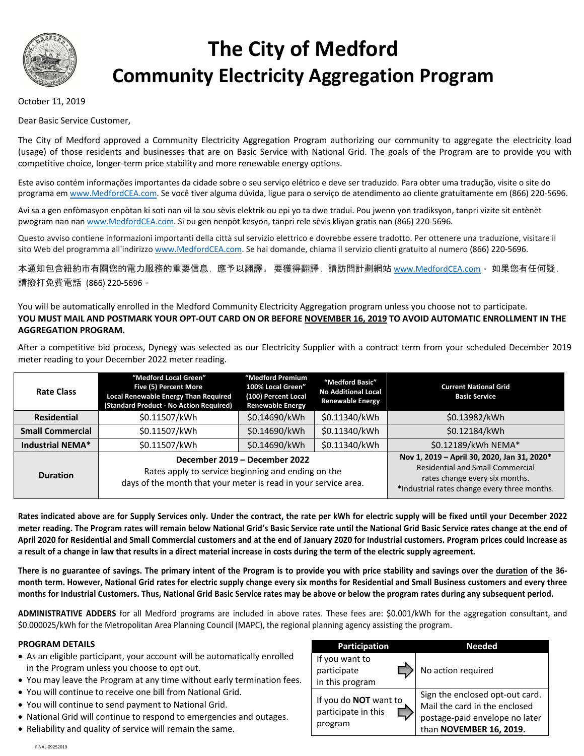

# **The City of Medford Community Electricity Aggregation Program**

## October 11, 2019

Dear Basic Service Customer,

The City of Medford approved a Community Electricity Aggregation Program authorizing our community to aggregate the electricity load (usage) of those residents and businesses that are on Basic Service with National Grid. The goals of the Program are to provide you with competitive choice, longer-term price stability and more renewable energy options.

Este aviso contém informações importantes da cidade sobre o seu serviço elétrico e deve ser traduzido. Para obter uma tradução, visite o site do programa em www.MedfordCEA.com. Se você tiver alguma dúvida, ligue para o serviço de atendimento ao cliente gratuitamente em (866) 220-5696.

Avi sa a gen enfòmasyon enpòtan ki soti nan vil la sou sèvis elektrik ou epi yo ta dwe tradui. Pou jwenn yon tradiksyon, tanpri vizite sit entènèt pwogram nan nan www.MedfordCEA.com. Si ou gen nenpòt kesyon, tanpri rele sèvis kliyan gratis nan (866) 220-5696.

Questo avviso contiene informazioni importanti della città sul servizio elettrico e dovrebbe essere tradotto. Per ottenere una traduzione, visitare il sito Web del programma all'indirizzo www.MedfordCEA.com. Se hai domande, chiama il servizio clienti gratuito al numero (866) 220-5696.

本通知包含紐約市有關您的電力服務的重要信息,應予以翻譯。 要獲得翻譯,請訪問計劃網站 www.MedfordCEA.com。 如果您有任何疑, 請撥打免費電話 (866) 220-5696。

You will be automatically enrolled in the Medford Community Electricity Aggregation program unless you choose not to participate. **YOU MUST MAIL AND POSTMARK YOUR OPT-OUT CARD ON OR BEFORE NOVEMBER 16, 2019 TO AVOID AUTOMATIC ENROLLMENT IN THE AGGREGATION PROGRAM.**

After a competitive bid process, Dynegy was selected as our Electricity Supplier with a contract term from your scheduled December 2019 meter reading to your December 2022 meter reading.

| <b>Rate Class</b>       | "Medford Local Green"<br>Five (5) Percent More<br>Local Renewable Energy Than Required<br>(Standard Product - No Action Required)                      | "Medford Premium<br>100% Local Green"<br>(100) Percent Local<br><b>Renewable Energy</b> | "Medford Basic"<br>No Additional Local<br><b>Renewable Energy</b> | <b>Current National Grid</b><br><b>Basic Service</b>                                                                                                                     |
|-------------------------|--------------------------------------------------------------------------------------------------------------------------------------------------------|-----------------------------------------------------------------------------------------|-------------------------------------------------------------------|--------------------------------------------------------------------------------------------------------------------------------------------------------------------------|
| <b>Residential</b>      | \$0.11507/kWh                                                                                                                                          | \$0.14690/kWh                                                                           | \$0.11340/kWh                                                     | \$0.13982/kWh                                                                                                                                                            |
| <b>Small Commercial</b> | \$0.11507/kWh                                                                                                                                          | \$0.14690/kWh                                                                           | \$0.11340/kWh                                                     | \$0.12184/kWh                                                                                                                                                            |
| Industrial NEMA*        | \$0.11507/kWh                                                                                                                                          | \$0.14690/kWh                                                                           | \$0.11340/kWh                                                     | \$0.12189/kWh NEMA*                                                                                                                                                      |
| <b>Duration</b>         | December 2019 - December 2022<br>Rates apply to service beginning and ending on the<br>days of the month that your meter is read in your service area. |                                                                                         |                                                                   | Nov 1, 2019 - April 30, 2020, Jan 31, 2020*<br><b>Residential and Small Commercial</b><br>rates change every six months.<br>*Industrial rates change every three months. |

**Rates indicated above are for Supply Services only. Under the contract, the rate per kWh for electric supply will be fixed until your December 2022 meter reading. The Program rates will remain below National Grid's Basic Service rate until the National Grid Basic Service rates change at the end of April 2020 for Residential and Small Commercial customers and at the end of January 2020 for Industrial customers. Program prices could increase as a result of a change in law that results in a direct material increase in costs during the term of the electric supply agreement.**

**There is no guarantee of savings. The primary intent of the Program is to provide you with price stability and savings over the duration of the 36 month term. However, National Grid rates for electric supply change every six months for Residential and Small Business customers and every three months for Industrial Customers. Thus, National Grid Basic Service rates may be above or below the program rates during any subsequent period.**

**ADMINISTRATIVE ADDERS** for all Medford programs are included in above rates. These fees are: \$0.001/kWh for the aggregation consultant, and \$0.000025/kWh for the Metropolitan Area Planning Council (MAPC), the regional planning agency assisting the program.

### **PROGRAM DETAILS**

- As an eligible participant, your account will be automatically enrolled in the Program unless you choose to opt out.
- You may leave the Program at any time without early termination fees.
- You will continue to receive one bill from National Grid.
- You will continue to send payment to National Grid.
- National Grid will continue to respond to emergencies and outages.
- Reliability and quality of service will remain the same.

| Participation                                                  | Needed                                                                                                                                |
|----------------------------------------------------------------|---------------------------------------------------------------------------------------------------------------------------------------|
| If you want to<br>participate<br>in this program               | No action required                                                                                                                    |
| If you do <b>NOT</b> want to<br>participate in this<br>program | Sign the enclosed opt-out card.<br>Mail the card in the enclosed<br>postage-paid envelope no later<br>than <b>NOVEMBER 16, 2019</b> . |

FINAL-09252019